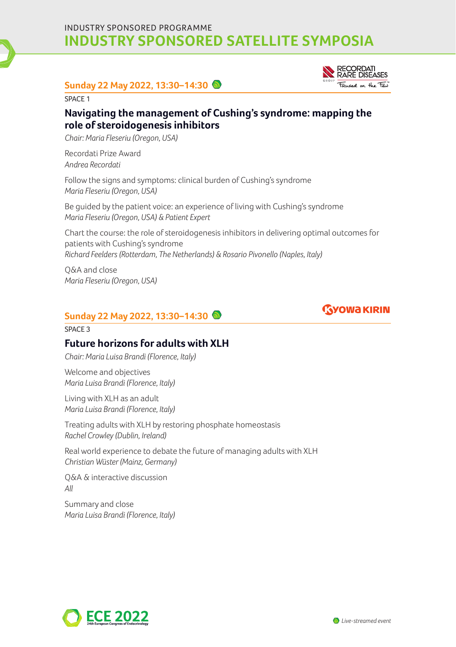INDUSTRY SPONSORED PROGRAMME **INDUSTRY SPONSORED SATELLITE SYMPOSIA**

### **Sunday 22 May 2022, 13:30–14:30**

SPACE 1

## **Navigating the management of Cushing's syndrome: mapping the role of steroidogenesis inhibitors**

*Chair: Maria Fleseriu (Oregon, USA)*

Recordati Prize Award *Andrea Recordati* 

Follow the signs and symptoms: clinical burden of Cushing's syndrome *Maria Fleseriu (Oregon, USA)*

Be guided by the patient voice: an experience of living with Cushing's syndrome *Maria Fleseriu (Oregon, USA) & Patient Expert* 

Chart the course: the role of steroidogenesis inhibitors in delivering optimal outcomes for patients with Cushing's syndrome *Richard Feelders (Rotterdam, The Netherlands) & Rosario Pivonello (Naples, Italy)* 

Q&A and close *Maria Fleseriu (Oregon, USA)* 

## **Sunday 22 May 2022, 13:30–14:30**

#### SPACE 3

### **Future horizons for adults with XLH**

*Chair: Maria Luisa Brandi (Florence, Italy)*

Welcome and objectives *Maria Luisa Brandi (Florence, Italy)* 

Living with XLH as an adult *Maria Luisa Brandi (Florence, Italy)*

Treating adults with XLH by restoring phosphate homeostasis *Rachel Crowley (Dublin, Ireland)* 

Real world experience to debate the future of managing adults with XLH *Christian Wüster (Mainz, Germany)* 

Q&A & interactive discussion *All* 

Summary and close *Maria Luisa Brandi (Florence, Italy)*







*Live-streamed event*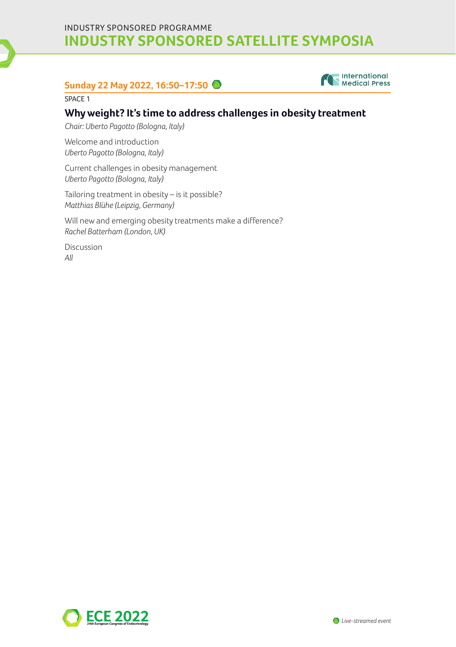INDUSTRY SPONSORED PROGRAMME **INDUSTRY SPONSORED SATELLITE SYMPOSIA**

# **Sunday 22 May 2022, 16:50–17:50**



SPACE 1

### **Why weight? It's time to address challenges in obesity treatment**

*Chair: Uberto Pagotto (Bologna, Italy)*

Welcome and introduction *Uberto Pagotto (Bologna, Italy)* 

Current challenges in obesity management *Uberto Pagotto (Bologna, Italy)* 

Tailoring treatment in obesity – is it possible? *Matthias Blühe (Leipzig, Germany)* 

Will new and emerging obesity treatments make a difference? *Rachel Batterham (London, UK)* 

Discussion *All*